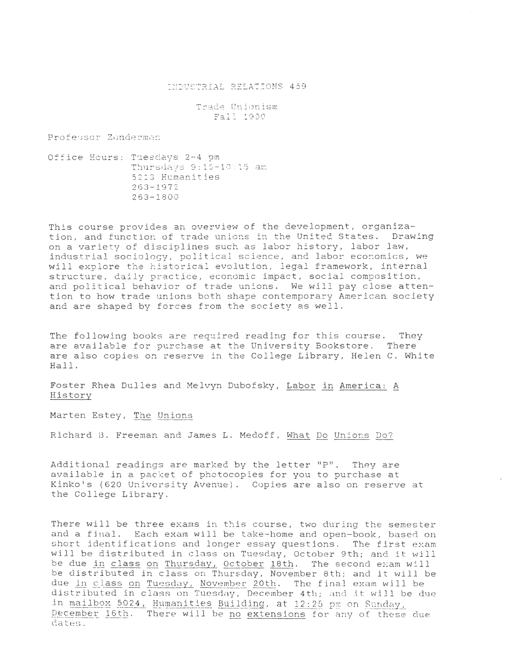## =~~USTRIAL RE LATIONS 4 59

Trade Unionism Fall 1990

Professor Zonderman

Office Hours: Tuesdays 2-4 pm Thursdays 9:15-10:15 am 5213 Humanities  $263 - 1972$ 263-1 80 0

This course provides an overview of the development, organization, and function of trade unions in the United States. Drawing on a variety of disciplines such as labor history, labor law, industrial sociology, political science, and labor economics, we will explore the historical evolution, legal framework, internal structure, daily practice, economic impact, social composition, and *political* behavior of trade unions. We will pay close attention to how trade unions both shape contemporary American society and are shaped by forces from the society as well.

The following books are required reading for this course. They are available for purchase at the University Bookstore. There are also copies on reserve in the College Library, Helen C. White Hall.

Foster Rhea Dulles and Melvyn Dubofsky, Labor in America: A History

Marten Estey, The Unions

Richard B. Freeman and James L. Medoff, What Do Unions Do?

Additional readings are marked by the letter "P". They are available in a packet of photocopies for you to purchase at Kinko's (620 University Avenue). Copies are also on reserve at the College Library.

There will be three exams *in* this course, two during the semester and a fjnal. Each exam will be take-home and open-book, based on short identifications and longer essay questions. The first exam will be distributed in class on Tuesday, October 9th; and it will be due in class on Thursday, October 18th. The second exam will be distributed in class on Thursday, November 8th; and *it* will be due in class on Tuesday, November 20th. The final exam will be distributed in class on Tuesday, December 4th; and it will be due in mailbox 5024, Humanities Building, at 12:25 pm on Sunday, December 16th. There will be no extensions for any of these due dates .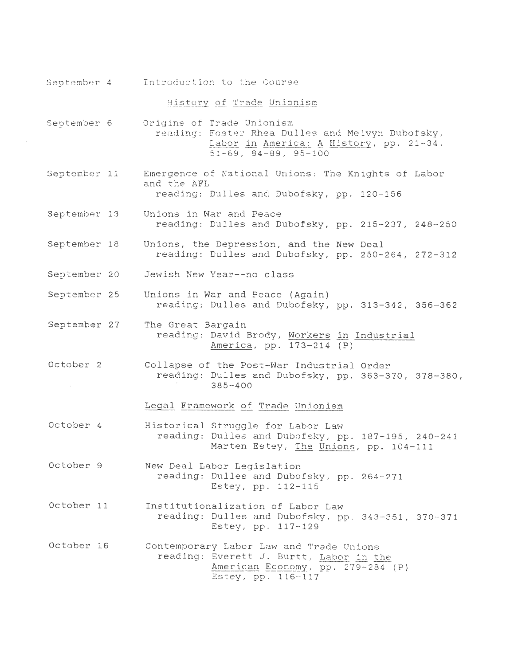|              | September 4 Introduction to the Course                                                                                                                         |
|--------------|----------------------------------------------------------------------------------------------------------------------------------------------------------------|
|              | History of Trade Unionism                                                                                                                                      |
| September 6  | Origins of Trade Unionism<br>reading: Foster Rhea Dulles and Melvyn Dubofsky,<br>Labor in America: A History, pp. 21-34,<br>$51 - 69$ , $84 - 89$ , $95 - 100$ |
| September 11 | Emergence of National Unions: The Knights of Labor<br>and the AFL<br>reading: Dulles and Dubofsky, pp. 120-156                                                 |
| September 13 | Unions in War and Peace<br>reading: Dulles and Dubofsky, pp. 215-237, 248-250                                                                                  |
| September 18 | Unions, the Depression, and the New Deal<br>reading: Dulles and Dubofsky, pp. 250-264, 272-312                                                                 |
| September 20 | Jewish New Year--no class                                                                                                                                      |
| September 25 | Unions in War and Peace (Again)<br>reading: Dulles and Dubofsky, pp. 313-342, 356-362                                                                          |
| September 27 | The Great Bargain<br>reading: David Brody, Workers in Industrial<br>America, pp. 173-214 (P)                                                                   |
| October 2    | Collapse of the Post-War Industrial Order<br>reading: Dulles and Dubofsky, pp. 363-370, 378-380,<br>$385 - 400$                                                |
|              | Legal Framework of Trade Unionism                                                                                                                              |
| October 4    | Historical Struggle for Labor Law<br>reading: Dulles and Dubofsky, pp. 187-195, 240-241<br>Marten Estey, The Unions, pp. 104-111                               |
| October 9    | New Deal Labor Legislation<br>reading: Dulles and Dubofsky, pp. 264-271<br>Estey, pp. 112-115                                                                  |
| October 11   | Institutionalization of Labor Law<br>reading: Dulles and Dubofsky, pp. 343-351, 370-371<br>Estey, pp. 117-129                                                  |
| October 16   | Contemporary Labor Law and Trade Unions<br>reading: Everett J. Burtt, Labor in the<br>American Economy, pp. 279-284 (P)<br>Estey, pp. 116-117                  |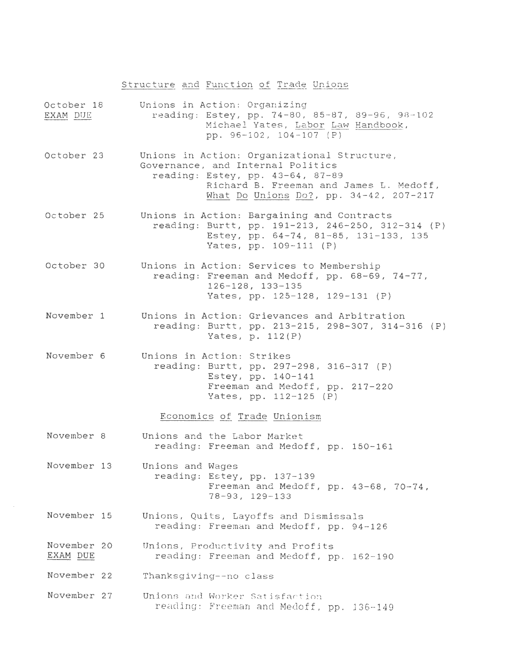## Structure and Function of Trade Unions

| EXAM DUE                | October 18 Unions in Action: Organizing<br>reading: Estey, pp. 74-80, 85-87, 89-96, 98-102<br>Michael Yates, Labor Law Handbook,<br>pp. 96-102, 104-107 (P)                                               |
|-------------------------|-----------------------------------------------------------------------------------------------------------------------------------------------------------------------------------------------------------|
| October 23              | Unions in Action: Organizational Structure,<br>Governance, and Internal Politics<br>reading: Estey, pp. 43-64, 87-89<br>Richard B. Freeman and James L. Medoff,<br>What Do Unions Do?, pp. 34-42, 207-217 |
| October 25              | Unions in Action: Bargaining and Contracts<br>reading: Burtt, pp. 191-213, 246-250, 312-314 (P)<br>Estey, pp. 64-74, 81-85, 131-133, 135<br>Yates, pp. 109-111 (P)                                        |
| October 30              | Unions in Action: Services to Membership<br>reading: Freeman and Medoff, pp. 68-69, 74-77,<br>$126 - 128$ , $133 - 135$<br>Yates, pp. 125-128, 129-131 (P)                                                |
| November 1              | Unions in Action: Grievances and Arbitration<br>reading: Burtt, pp. 213-215, 298-307, 314-316 (P)<br>Yates, $p. 112(P)$                                                                                   |
| November 6              | Unions in Action: Strikes<br>reading: Burtt, pp. 297-298, 316-317 (P)<br>Estey, $pp. 140-141$<br>Freeman and Medoff, pp. 217-220<br>Yates, pp. 112-125 (P)                                                |
|                         | Economics of Trade Unionism                                                                                                                                                                               |
| November 8              | Unions and the Labor Market<br>reading: Freeman and Medoff, pp. 150-161                                                                                                                                   |
| November 13             | Unions and Wages<br>reading: Estey, pp. 137-139<br>Freeman and Medoff, pp. 43-68, 70-74,<br>78-93, 129-133                                                                                                |
| November 15             | Unions, Quits, Layoffs and Dismissals<br>reading: Freeman and Medoff, pp. 94-126                                                                                                                          |
| November 20<br>EXAM DUE | Unions, Productivity and Profits<br>reading: Freeman and Medoff, pp. 162-190                                                                                                                              |
| November 22             | Thanksgiving--no class                                                                                                                                                                                    |
| November 27             | Unions and Worker Satisfaction<br>reading: Freeman and Medoff, pp. 136-149                                                                                                                                |

 $\sim 10$